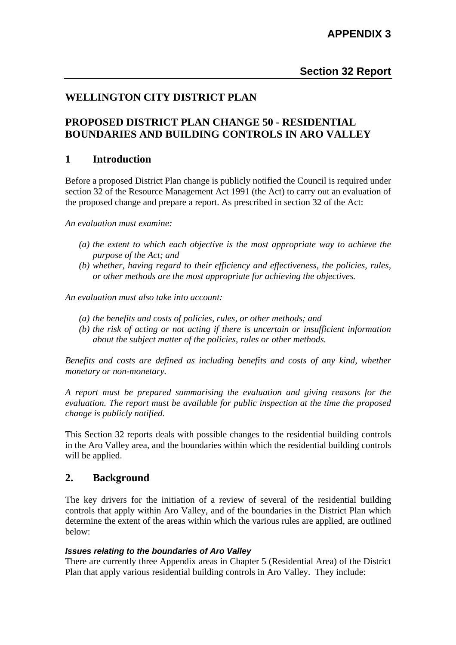## **WELLINGTON CITY DISTRICT PLAN**

## **PROPOSED DISTRICT PLAN CHANGE 50 - RESIDENTIAL BOUNDARIES AND BUILDING CONTROLS IN ARO VALLEY**

### **1 Introduction**

Before a proposed District Plan change is publicly notified the Council is required under section 32 of the Resource Management Act 1991 (the Act) to carry out an evaluation of the proposed change and prepare a report. As prescribed in section 32 of the Act:

*An evaluation must examine:* 

- *(a) the extent to which each objective is the most appropriate way to achieve the purpose of the Act; and*
- *(b) whether, having regard to their efficiency and effectiveness, the policies, rules, or other methods are the most appropriate for achieving the objectives.*

*An evaluation must also take into account:* 

- *(a) the benefits and costs of policies, rules, or other methods; and*
- *(b) the risk of acting or not acting if there is uncertain or insufficient information about the subject matter of the policies, rules or other methods.*

*Benefits and costs are defined as including benefits and costs of any kind, whether monetary or non-monetary.* 

*A report must be prepared summarising the evaluation and giving reasons for the evaluation. The report must be available for public inspection at the time the proposed change is publicly notified.* 

This Section 32 reports deals with possible changes to the residential building controls in the Aro Valley area, and the boundaries within which the residential building controls will be applied.

### **2. Background**

The key drivers for the initiation of a review of several of the residential building controls that apply within Aro Valley, and of the boundaries in the District Plan which determine the extent of the areas within which the various rules are applied, are outlined below:

### *Issues relating to the boundaries of Aro Valley*

There are currently three Appendix areas in Chapter 5 (Residential Area) of the District Plan that apply various residential building controls in Aro Valley. They include: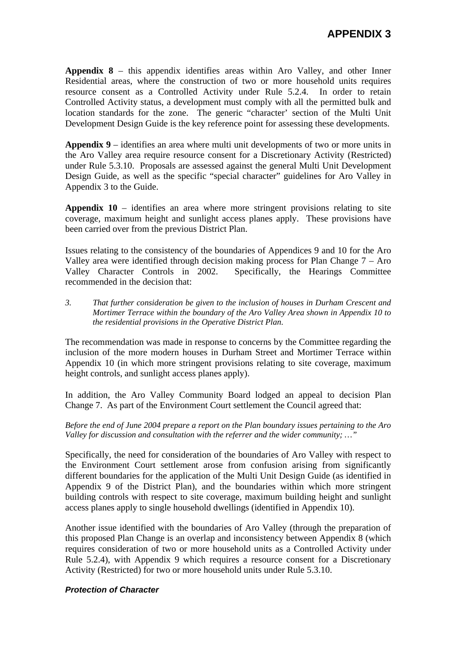**Appendix 8** – this appendix identifies areas within Aro Valley, and other Inner Residential areas, where the construction of two or more household units requires resource consent as a Controlled Activity under Rule 5.2.4. In order to retain Controlled Activity status, a development must comply with all the permitted bulk and location standards for the zone. The generic "character' section of the Multi Unit Development Design Guide is the key reference point for assessing these developments.

**Appendix 9** – identifies an area where multi unit developments of two or more units in the Aro Valley area require resource consent for a Discretionary Activity (Restricted) under Rule 5.3.10. Proposals are assessed against the general Multi Unit Development Design Guide, as well as the specific "special character" guidelines for Aro Valley in Appendix 3 to the Guide.

**Appendix 10** – identifies an area where more stringent provisions relating to site coverage, maximum height and sunlight access planes apply. These provisions have been carried over from the previous District Plan.

Issues relating to the consistency of the boundaries of Appendices 9 and 10 for the Aro Valley area were identified through decision making process for Plan Change  $7 - A$ ro Valley Character Controls in 2002. Specifically, the Hearings Committee recommended in the decision that:

*3. That further consideration be given to the inclusion of houses in Durham Crescent and Mortimer Terrace within the boundary of the Aro Valley Area shown in Appendix 10 to the residential provisions in the Operative District Plan.* 

The recommendation was made in response to concerns by the Committee regarding the inclusion of the more modern houses in Durham Street and Mortimer Terrace within Appendix 10 (in which more stringent provisions relating to site coverage, maximum height controls, and sunlight access planes apply).

In addition, the Aro Valley Community Board lodged an appeal to decision Plan Change 7. As part of the Environment Court settlement the Council agreed that:

*Before the end of June 2004 prepare a report on the Plan boundary issues pertaining to the Aro Valley for discussion and consultation with the referrer and the wider community; …"* 

Specifically, the need for consideration of the boundaries of Aro Valley with respect to the Environment Court settlement arose from confusion arising from significantly different boundaries for the application of the Multi Unit Design Guide (as identified in Appendix 9 of the District Plan), and the boundaries within which more stringent building controls with respect to site coverage, maximum building height and sunlight access planes apply to single household dwellings (identified in Appendix 10).

Another issue identified with the boundaries of Aro Valley (through the preparation of this proposed Plan Change is an overlap and inconsistency between Appendix 8 (which requires consideration of two or more household units as a Controlled Activity under Rule 5.2.4), with Appendix 9 which requires a resource consent for a Discretionary Activity (Restricted) for two or more household units under Rule 5.3.10.

### *Protection of Character*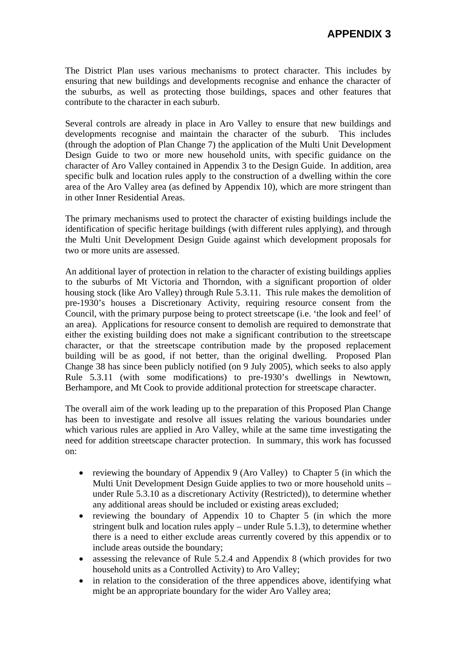The District Plan uses various mechanisms to protect character. This includes by ensuring that new buildings and developments recognise and enhance the character of the suburbs, as well as protecting those buildings, spaces and other features that contribute to the character in each suburb.

Several controls are already in place in Aro Valley to ensure that new buildings and developments recognise and maintain the character of the suburb. This includes (through the adoption of Plan Change 7) the application of the Multi Unit Development Design Guide to two or more new household units, with specific guidance on the character of Aro Valley contained in Appendix 3 to the Design Guide. In addition, area specific bulk and location rules apply to the construction of a dwelling within the core area of the Aro Valley area (as defined by Appendix 10), which are more stringent than in other Inner Residential Areas.

The primary mechanisms used to protect the character of existing buildings include the identification of specific heritage buildings (with different rules applying), and through the Multi Unit Development Design Guide against which development proposals for two or more units are assessed.

An additional layer of protection in relation to the character of existing buildings applies to the suburbs of Mt Victoria and Thorndon, with a significant proportion of older housing stock (like Aro Valley) through Rule 5.3.11. This rule makes the demolition of pre-1930's houses a Discretionary Activity, requiring resource consent from the Council, with the primary purpose being to protect streetscape (i.e. 'the look and feel' of an area). Applications for resource consent to demolish are required to demonstrate that either the existing building does not make a significant contribution to the streetscape character, or that the streetscape contribution made by the proposed replacement building will be as good, if not better, than the original dwelling. Proposed Plan Change 38 has since been publicly notified (on 9 July 2005), which seeks to also apply Rule 5.3.11 (with some modifications) to pre-1930's dwellings in Newtown, Berhampore, and Mt Cook to provide additional protection for streetscape character.

The overall aim of the work leading up to the preparation of this Proposed Plan Change has been to investigate and resolve all issues relating the various boundaries under which various rules are applied in Aro Valley, while at the same time investigating the need for addition streetscape character protection. In summary, this work has focussed on:

- reviewing the boundary of Appendix 9 (Aro Valley) to Chapter 5 (in which the Multi Unit Development Design Guide applies to two or more household units – under Rule 5.3.10 as a discretionary Activity (Restricted)), to determine whether any additional areas should be included or existing areas excluded;
- reviewing the boundary of Appendix 10 to Chapter 5 (in which the more stringent bulk and location rules apply – under Rule 5.1.3), to determine whether there is a need to either exclude areas currently covered by this appendix or to include areas outside the boundary;
- assessing the relevance of Rule 5.2.4 and Appendix 8 (which provides for two household units as a Controlled Activity) to Aro Valley;
- in relation to the consideration of the three appendices above, identifying what might be an appropriate boundary for the wider Aro Valley area;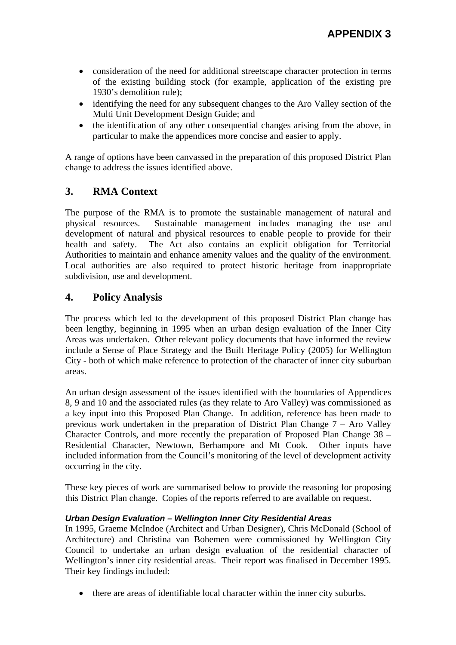- consideration of the need for additional streetscape character protection in terms of the existing building stock (for example, application of the existing pre 1930's demolition rule);
- identifying the need for any subsequent changes to the Aro Valley section of the Multi Unit Development Design Guide; and
- the identification of any other consequential changes arising from the above, in particular to make the appendices more concise and easier to apply.

A range of options have been canvassed in the preparation of this proposed District Plan change to address the issues identified above.

# **3. RMA Context**

The purpose of the RMA is to promote the sustainable management of natural and physical resources. Sustainable management includes managing the use and development of natural and physical resources to enable people to provide for their health and safety. The Act also contains an explicit obligation for Territorial Authorities to maintain and enhance amenity values and the quality of the environment. Local authorities are also required to protect historic heritage from inappropriate subdivision, use and development.

## **4. Policy Analysis**

The process which led to the development of this proposed District Plan change has been lengthy, beginning in 1995 when an urban design evaluation of the Inner City Areas was undertaken. Other relevant policy documents that have informed the review include a Sense of Place Strategy and the Built Heritage Policy (2005) for Wellington City - both of which make reference to protection of the character of inner city suburban areas.

An urban design assessment of the issues identified with the boundaries of Appendices 8, 9 and 10 and the associated rules (as they relate to Aro Valley) was commissioned as a key input into this Proposed Plan Change. In addition, reference has been made to previous work undertaken in the preparation of District Plan Change 7 – Aro Valley Character Controls, and more recently the preparation of Proposed Plan Change 38 – Residential Character, Newtown, Berhampore and Mt Cook. Other inputs have included information from the Council's monitoring of the level of development activity occurring in the city.

These key pieces of work are summarised below to provide the reasoning for proposing this District Plan change. Copies of the reports referred to are available on request.

### *Urban Design Evaluation – Wellington Inner City Residential Areas*

In 1995, Graeme McIndoe (Architect and Urban Designer), Chris McDonald (School of Architecture) and Christina van Bohemen were commissioned by Wellington City Council to undertake an urban design evaluation of the residential character of Wellington's inner city residential areas. Their report was finalised in December 1995. Their key findings included:

• there are areas of identifiable local character within the inner city suburbs.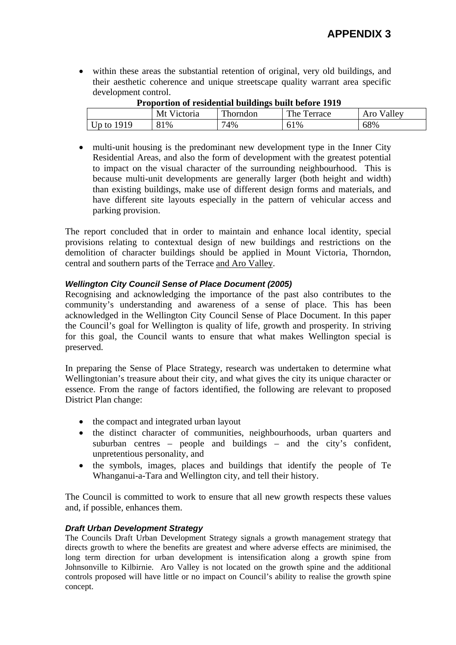• within these areas the substantial retention of original, very old buildings, and their aesthetic coherence and unique streetscape quality warrant area specific development control.

| <b>Froportion of residential buildings built before 1919</b> |             |          |             |            |
|--------------------------------------------------------------|-------------|----------|-------------|------------|
|                                                              | Mt Victoria | Thorndon | The Terrace | Aro Valley |
| Up to $1919$                                                 | 81%         | 74%      | 61%         | 68%        |

### **Proportion of residential buildings built before 1919**

• multi-unit housing is the predominant new development type in the Inner City Residential Areas, and also the form of development with the greatest potential to impact on the visual character of the surrounding neighbourhood. This is because multi-unit developments are generally larger (both height and width) than existing buildings, make use of different design forms and materials, and have different site layouts especially in the pattern of vehicular access and parking provision.

The report concluded that in order to maintain and enhance local identity, special provisions relating to contextual design of new buildings and restrictions on the demolition of character buildings should be applied in Mount Victoria, Thorndon, central and southern parts of the Terrace and Aro Valley.

### *Wellington City Council Sense of Place Document (2005)*

Recognising and acknowledging the importance of the past also contributes to the community's understanding and awareness of a sense of place. This has been acknowledged in the Wellington City Council Sense of Place Document. In this paper the Council's goal for Wellington is quality of life, growth and prosperity. In striving for this goal, the Council wants to ensure that what makes Wellington special is preserved.

In preparing the Sense of Place Strategy, research was undertaken to determine what Wellingtonian's treasure about their city, and what gives the city its unique character or essence. From the range of factors identified, the following are relevant to proposed District Plan change:

- the compact and integrated urban layout
- the distinct character of communities, neighbourhoods, urban quarters and suburban centres – people and buildings – and the city's confident, unpretentious personality, and
- the symbols, images, places and buildings that identify the people of Te Whanganui-a-Tara and Wellington city, and tell their history.

The Council is committed to work to ensure that all new growth respects these values and, if possible, enhances them.

#### *Draft Urban Development Strategy*

The Councils Draft Urban Development Strategy signals a growth management strategy that directs growth to where the benefits are greatest and where adverse effects are minimised, the long term direction for urban development is intensification along a growth spine from Johnsonville to Kilbirnie. Aro Valley is not located on the growth spine and the additional controls proposed will have little or no impact on Council's ability to realise the growth spine concept.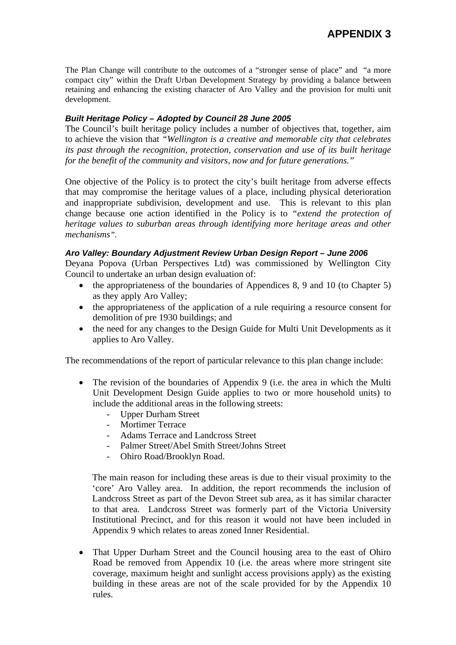The Plan Change will contribute to the outcomes of a "stronger sense of place" and "a more compact city" within the Draft Urban Development Strategy by providing a balance between retaining and enhancing the existing character of Aro Valley and the provision for multi unit development.

### *Built Heritage Policy – Adopted by Council 28 June 2005*

The Council's built heritage policy includes a number of objectives that, together, aim to achieve the vision that *"Wellington is a creative and memorable city that celebrates its past through the recognition, protection, conservation and use of its built heritage for the benefit of the community and visitors, now and for future generations."* 

One objective of the Policy is to protect the city's built heritage from adverse effects that may compromise the heritage values of a place, including physical deterioration and inappropriate subdivision, development and use. This is relevant to this plan change because one action identified in the Policy is to *"extend the protection of heritage values to suburban areas through identifying more heritage areas and other mechanisms".* 

### *Aro Valley: Boundary Adjustment Review Urban Design Report – June 2006*

Deyana Popova (Urban Perspectives Ltd) was commissioned by Wellington City Council to undertake an urban design evaluation of:

- the appropriateness of the boundaries of Appendices 8, 9 and 10 (to Chapter 5) as they apply Aro Valley;
- the appropriateness of the application of a rule requiring a resource consent for demolition of pre 1930 buildings; and
- the need for any changes to the Design Guide for Multi Unit Developments as it applies to Aro Valley.

The recommendations of the report of particular relevance to this plan change include:

- The revision of the boundaries of Appendix 9 (i.e. the area in which the Multi Unit Development Design Guide applies to two or more household units) to include the additional areas in the following streets:
	- Upper Durham Street
	- Mortimer Terrace
	- Adams Terrace and Landcross Street
	- Palmer Street/Abel Smith Street/Johns Street
	- Ohiro Road/Brooklyn Road.

The main reason for including these areas is due to their visual proximity to the 'core' Aro Valley area. In addition, the report recommends the inclusion of Landcross Street as part of the Devon Street sub area, as it has similar character to that area. Landcross Street was formerly part of the Victoria University Institutional Precinct, and for this reason it would not have been included in Appendix 9 which relates to areas zoned Inner Residential.

• That Upper Durham Street and the Council housing area to the east of Ohiro Road be removed from Appendix 10 (i.e. the areas where more stringent site coverage, maximum height and sunlight access provisions apply) as the existing building in these areas are not of the scale provided for by the Appendix 10 rules.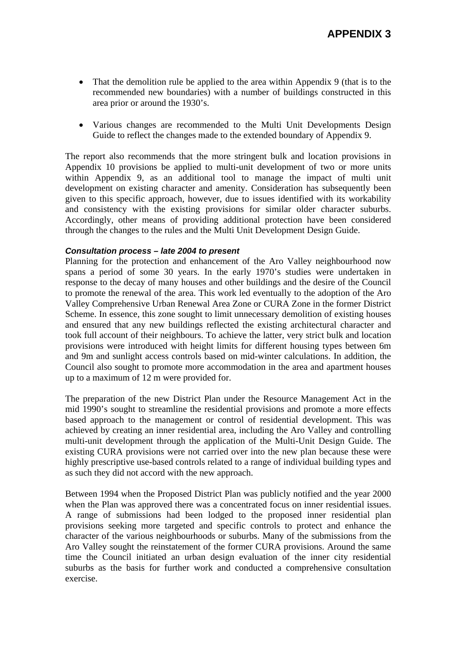- That the demolition rule be applied to the area within Appendix 9 (that is to the recommended new boundaries) with a number of buildings constructed in this area prior or around the 1930's.
- Various changes are recommended to the Multi Unit Developments Design Guide to reflect the changes made to the extended boundary of Appendix 9.

The report also recommends that the more stringent bulk and location provisions in Appendix 10 provisions be applied to multi-unit development of two or more units within Appendix 9, as an additional tool to manage the impact of multi unit development on existing character and amenity. Consideration has subsequently been given to this specific approach, however, due to issues identified with its workability and consistency with the existing provisions for similar older character suburbs. Accordingly, other means of providing additional protection have been considered through the changes to the rules and the Multi Unit Development Design Guide.

### *Consultation process – late 2004 to present*

Planning for the protection and enhancement of the Aro Valley neighbourhood now spans a period of some 30 years. In the early 1970's studies were undertaken in response to the decay of many houses and other buildings and the desire of the Council to promote the renewal of the area. This work led eventually to the adoption of the Aro Valley Comprehensive Urban Renewal Area Zone or CURA Zone in the former District Scheme. In essence, this zone sought to limit unnecessary demolition of existing houses and ensured that any new buildings reflected the existing architectural character and took full account of their neighbours. To achieve the latter, very strict bulk and location provisions were introduced with height limits for different housing types between 6m and 9m and sunlight access controls based on mid-winter calculations. In addition, the Council also sought to promote more accommodation in the area and apartment houses up to a maximum of 12 m were provided for.

The preparation of the new District Plan under the Resource Management Act in the mid 1990's sought to streamline the residential provisions and promote a more effects based approach to the management or control of residential development. This was achieved by creating an inner residential area, including the Aro Valley and controlling multi-unit development through the application of the Multi-Unit Design Guide. The existing CURA provisions were not carried over into the new plan because these were highly prescriptive use-based controls related to a range of individual building types and as such they did not accord with the new approach.

Between 1994 when the Proposed District Plan was publicly notified and the year 2000 when the Plan was approved there was a concentrated focus on inner residential issues. A range of submissions had been lodged to the proposed inner residential plan provisions seeking more targeted and specific controls to protect and enhance the character of the various neighbourhoods or suburbs. Many of the submissions from the Aro Valley sought the reinstatement of the former CURA provisions. Around the same time the Council initiated an urban design evaluation of the inner city residential suburbs as the basis for further work and conducted a comprehensive consultation exercise.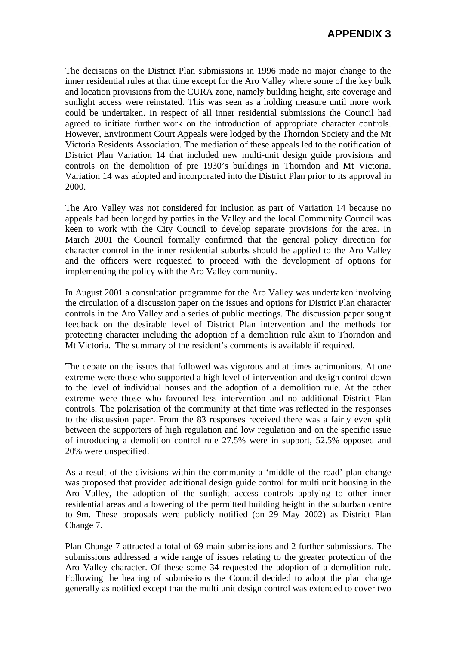The decisions on the District Plan submissions in 1996 made no major change to the inner residential rules at that time except for the Aro Valley where some of the key bulk and location provisions from the CURA zone, namely building height, site coverage and sunlight access were reinstated. This was seen as a holding measure until more work could be undertaken. In respect of all inner residential submissions the Council had agreed to initiate further work on the introduction of appropriate character controls. However, Environment Court Appeals were lodged by the Thorndon Society and the Mt Victoria Residents Association. The mediation of these appeals led to the notification of District Plan Variation 14 that included new multi-unit design guide provisions and controls on the demolition of pre 1930's buildings in Thorndon and Mt Victoria. Variation 14 was adopted and incorporated into the District Plan prior to its approval in 2000.

The Aro Valley was not considered for inclusion as part of Variation 14 because no appeals had been lodged by parties in the Valley and the local Community Council was keen to work with the City Council to develop separate provisions for the area. In March 2001 the Council formally confirmed that the general policy direction for character control in the inner residential suburbs should be applied to the Aro Valley and the officers were requested to proceed with the development of options for implementing the policy with the Aro Valley community.

In August 2001 a consultation programme for the Aro Valley was undertaken involving the circulation of a discussion paper on the issues and options for District Plan character controls in the Aro Valley and a series of public meetings. The discussion paper sought feedback on the desirable level of District Plan intervention and the methods for protecting character including the adoption of a demolition rule akin to Thorndon and Mt Victoria. The summary of the resident's comments is available if required.

The debate on the issues that followed was vigorous and at times acrimonious. At one extreme were those who supported a high level of intervention and design control down to the level of individual houses and the adoption of a demolition rule. At the other extreme were those who favoured less intervention and no additional District Plan controls. The polarisation of the community at that time was reflected in the responses to the discussion paper. From the 83 responses received there was a fairly even split between the supporters of high regulation and low regulation and on the specific issue of introducing a demolition control rule 27.5% were in support, 52.5% opposed and 20% were unspecified.

As a result of the divisions within the community a 'middle of the road' plan change was proposed that provided additional design guide control for multi unit housing in the Aro Valley, the adoption of the sunlight access controls applying to other inner residential areas and a lowering of the permitted building height in the suburban centre to 9m. These proposals were publicly notified (on 29 May 2002) as District Plan Change 7.

Plan Change 7 attracted a total of 69 main submissions and 2 further submissions. The submissions addressed a wide range of issues relating to the greater protection of the Aro Valley character. Of these some 34 requested the adoption of a demolition rule. Following the hearing of submissions the Council decided to adopt the plan change generally as notified except that the multi unit design control was extended to cover two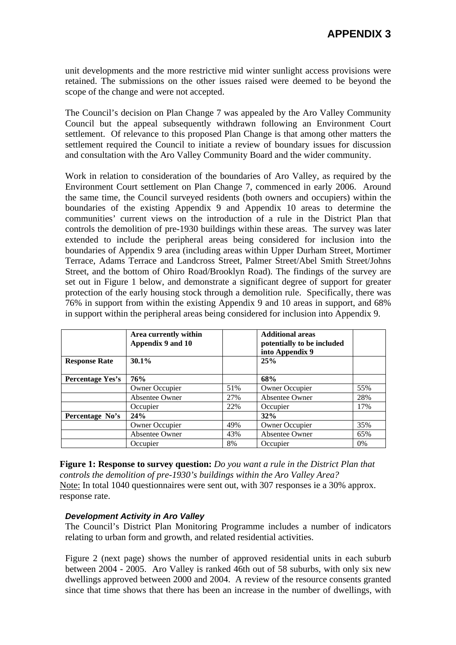unit developments and the more restrictive mid winter sunlight access provisions were retained. The submissions on the other issues raised were deemed to be beyond the scope of the change and were not accepted.

The Council's decision on Plan Change 7 was appealed by the Aro Valley Community Council but the appeal subsequently withdrawn following an Environment Court settlement. Of relevance to this proposed Plan Change is that among other matters the settlement required the Council to initiate a review of boundary issues for discussion and consultation with the Aro Valley Community Board and the wider community.

Work in relation to consideration of the boundaries of Aro Valley, as required by the Environment Court settlement on Plan Change 7, commenced in early 2006. Around the same time, the Council surveyed residents (both owners and occupiers) within the boundaries of the existing Appendix 9 and Appendix 10 areas to determine the communities' current views on the introduction of a rule in the District Plan that controls the demolition of pre-1930 buildings within these areas. The survey was later extended to include the peripheral areas being considered for inclusion into the boundaries of Appendix 9 area (including areas within Upper Durham Street, Mortimer Terrace, Adams Terrace and Landcross Street, Palmer Street/Abel Smith Street/Johns Street, and the bottom of Ohiro Road/Brooklyn Road). The findings of the survey are set out in Figure 1 below, and demonstrate a significant degree of support for greater protection of the early housing stock through a demolition rule. Specifically, there was 76% in support from within the existing Appendix 9 and 10 areas in support, and 68% in support within the peripheral areas being considered for inclusion into Appendix 9.

|                         | Area currently within<br>Appendix 9 and 10 |     | <b>Additional areas</b><br>potentially to be included<br>into Appendix 9 |     |
|-------------------------|--------------------------------------------|-----|--------------------------------------------------------------------------|-----|
| <b>Response Rate</b>    | $30.1\%$                                   |     | 25%                                                                      |     |
| <b>Percentage Yes's</b> | 76%                                        |     | 68%                                                                      |     |
|                         | Owner Occupier                             | 51% | <b>Owner Occupier</b>                                                    | 55% |
|                         | Absentee Owner                             | 27% | <b>Absentee Owner</b>                                                    | 28% |
|                         | Occupier                                   | 22% | Occupier                                                                 | 17% |
| Percentage No's         | 24%                                        |     | 32%                                                                      |     |
|                         | Owner Occupier                             | 49% | <b>Owner Occupier</b>                                                    | 35% |
|                         | Absentee Owner                             | 43% | <b>Absentee Owner</b>                                                    | 65% |
|                         | Occupier                                   | 8%  | Occupier                                                                 | 0%  |

**Figure 1: Response to survey question:** *Do you want a rule in the District Plan that controls the demolition of pre-1930's buildings within the Aro Valley Area?*  Note: In total 1040 questionnaires were sent out, with 307 responses ie a 30% approx. response rate.

#### *Development Activity in Aro Valley*

The Council's District Plan Monitoring Programme includes a number of indicators relating to urban form and growth, and related residential activities.

Figure 2 (next page) shows the number of approved residential units in each suburb between 2004 - 2005. Aro Valley is ranked 46th out of 58 suburbs, with only six new dwellings approved between 2000 and 2004. A review of the resource consents granted since that time shows that there has been an increase in the number of dwellings, with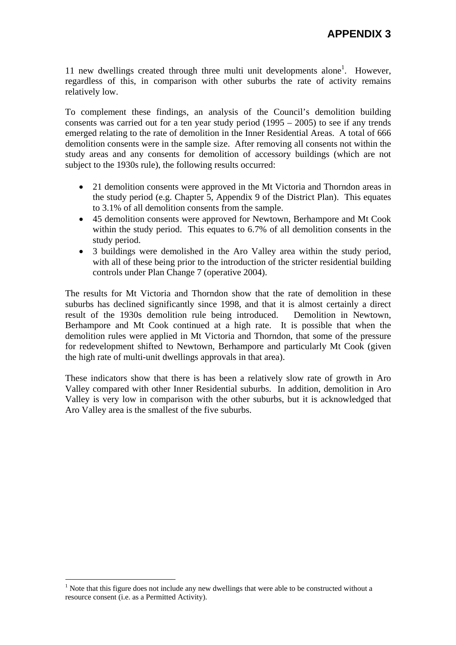11 new dwellings created through three multi unit developments alone<sup>1</sup>. However, regardless of this, in comparison with other suburbs the rate of activity remains relatively low.

To complement these findings, an analysis of the Council's demolition building consents was carried out for a ten year study period (1995 – 2005) to see if any trends emerged relating to the rate of demolition in the Inner Residential Areas. A total of 666 demolition consents were in the sample size. After removing all consents not within the study areas and any consents for demolition of accessory buildings (which are not subject to the 1930s rule), the following results occurred:

- 21 demolition consents were approved in the Mt Victoria and Thorndon areas in the study period (e.g. Chapter 5, Appendix 9 of the District Plan). This equates to 3.1% of all demolition consents from the sample.
- 45 demolition consents were approved for Newtown, Berhampore and Mt Cook within the study period. This equates to 6.7% of all demolition consents in the study period.
- 3 buildings were demolished in the Aro Valley area within the study period, with all of these being prior to the introduction of the stricter residential building controls under Plan Change 7 (operative 2004).

The results for Mt Victoria and Thorndon show that the rate of demolition in these suburbs has declined significantly since 1998, and that it is almost certainly a direct result of the 1930s demolition rule being introduced. Demolition in Newtown, Berhampore and Mt Cook continued at a high rate. It is possible that when the demolition rules were applied in Mt Victoria and Thorndon, that some of the pressure for redevelopment shifted to Newtown, Berhampore and particularly Mt Cook (given the high rate of multi-unit dwellings approvals in that area).

These indicators show that there is has been a relatively slow rate of growth in Aro Valley compared with other Inner Residential suburbs. In addition, demolition in Aro Valley is very low in comparison with the other suburbs, but it is acknowledged that Aro Valley area is the smallest of the five suburbs.

 $\overline{a}$ 

 $<sup>1</sup>$  Note that this figure does not include any new dwellings that were able to be constructed without a</sup> resource consent (i.e. as a Permitted Activity).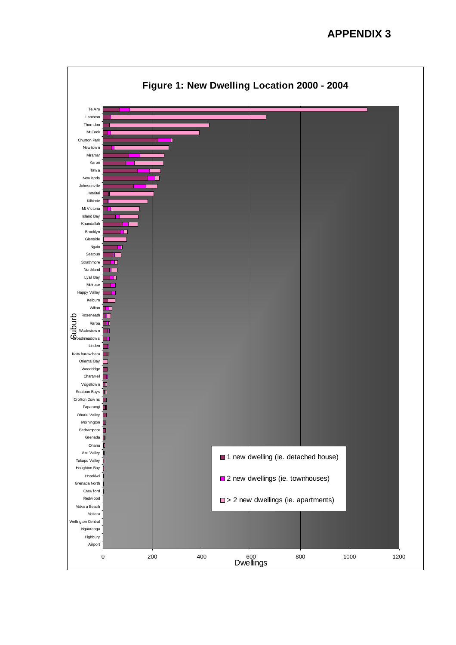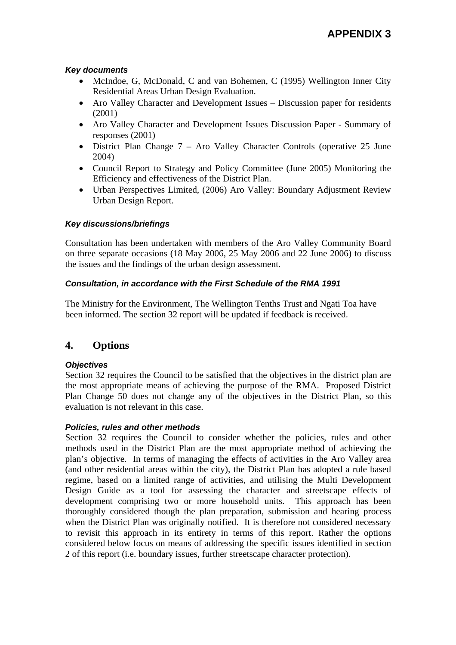### *Key documents*

- McIndoe, G, McDonald, C and van Bohemen, C (1995) Wellington Inner City Residential Areas Urban Design Evaluation.
- Aro Valley Character and Development Issues Discussion paper for residents (2001)
- Aro Valley Character and Development Issues Discussion Paper Summary of responses (2001)
- District Plan Change 7 Aro Valley Character Controls (operative 25 June 2004)
- Council Report to Strategy and Policy Committee (June 2005) Monitoring the Efficiency and effectiveness of the District Plan.
- Urban Perspectives Limited, (2006) Aro Valley: Boundary Adjustment Review Urban Design Report.

### *Key discussions/briefings*

Consultation has been undertaken with members of the Aro Valley Community Board on three separate occasions (18 May 2006, 25 May 2006 and 22 June 2006) to discuss the issues and the findings of the urban design assessment.

### *Consultation, in accordance with the First Schedule of the RMA 1991*

The Ministry for the Environment, The Wellington Tenths Trust and Ngati Toa have been informed. The section 32 report will be updated if feedback is received.

### **4. Options**

### *Objectives*

Section 32 requires the Council to be satisfied that the objectives in the district plan are the most appropriate means of achieving the purpose of the RMA. Proposed District Plan Change 50 does not change any of the objectives in the District Plan, so this evaluation is not relevant in this case.

#### *Policies, rules and other methods*

Section 32 requires the Council to consider whether the policies, rules and other methods used in the District Plan are the most appropriate method of achieving the plan's objective. In terms of managing the effects of activities in the Aro Valley area (and other residential areas within the city), the District Plan has adopted a rule based regime, based on a limited range of activities, and utilising the Multi Development Design Guide as a tool for assessing the character and streetscape effects of development comprising two or more household units. This approach has been thoroughly considered though the plan preparation, submission and hearing process when the District Plan was originally notified. It is therefore not considered necessary to revisit this approach in its entirety in terms of this report. Rather the options considered below focus on means of addressing the specific issues identified in section 2 of this report (i.e. boundary issues, further streetscape character protection).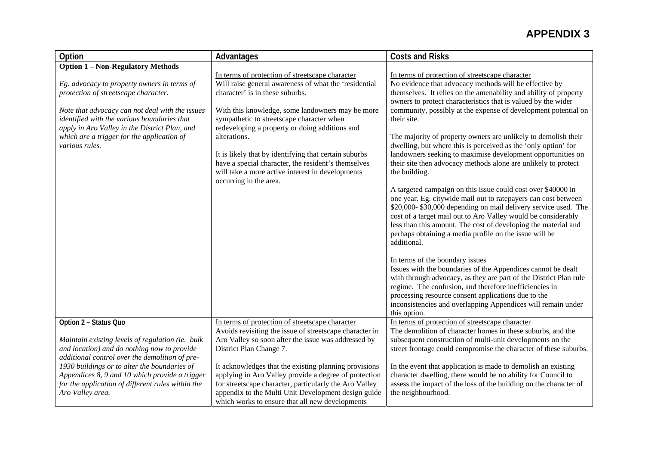| Option                                                                                                                                                                                                                                                                                                                                                | Advantages                                                                                                                                                                                                                                                                                                                                                                                                                                                                                                   | <b>Costs and Risks</b>                                                                                                                                                                                                                                                                                                                                                                                                                                                                                                                                                                                                                                                                                                                                                                                                                                                                                                                                                                                                                                                                                                                                                                                                                                                                                                                                                                                         |
|-------------------------------------------------------------------------------------------------------------------------------------------------------------------------------------------------------------------------------------------------------------------------------------------------------------------------------------------------------|--------------------------------------------------------------------------------------------------------------------------------------------------------------------------------------------------------------------------------------------------------------------------------------------------------------------------------------------------------------------------------------------------------------------------------------------------------------------------------------------------------------|----------------------------------------------------------------------------------------------------------------------------------------------------------------------------------------------------------------------------------------------------------------------------------------------------------------------------------------------------------------------------------------------------------------------------------------------------------------------------------------------------------------------------------------------------------------------------------------------------------------------------------------------------------------------------------------------------------------------------------------------------------------------------------------------------------------------------------------------------------------------------------------------------------------------------------------------------------------------------------------------------------------------------------------------------------------------------------------------------------------------------------------------------------------------------------------------------------------------------------------------------------------------------------------------------------------------------------------------------------------------------------------------------------------|
| <b>Option 1 - Non-Regulatory Methods</b><br>Eg. advocacy to property owners in terms of<br>protection of streetscape character.<br>Note that advocacy can not deal with the issues<br>identified with the various boundaries that<br>apply in Aro Valley in the District Plan, and<br>which are a trigger for the application of<br>various rules.    | In terms of protection of streetscape character<br>Will raise general awareness of what the 'residential<br>character' is in these suburbs.<br>With this knowledge, some landowners may be more<br>sympathetic to streetscape character when<br>redeveloping a property or doing additions and<br>alterations.<br>It is likely that by identifying that certain suburbs<br>have a special character, the resident's themselves<br>will take a more active interest in developments<br>occurring in the area. | In terms of protection of streetscape character<br>No evidence that advocacy methods will be effective by<br>themselves. It relies on the amenability and ability of property<br>owners to protect characteristics that is valued by the wider<br>community, possibly at the expense of development potential on<br>their site.<br>The majority of property owners are unlikely to demolish their<br>dwelling, but where this is perceived as the 'only option' for<br>landowners seeking to maximise development opportunities on<br>their site then advocacy methods alone are unlikely to protect<br>the building.<br>A targeted campaign on this issue could cost over \$40000 in<br>one year. Eg. citywide mail out to ratepayers can cost between<br>\$20,000-\$30,000 depending on mail delivery service used. The<br>cost of a target mail out to Aro Valley would be considerably<br>less than this amount. The cost of developing the material and<br>perhaps obtaining a media profile on the issue will be<br>additional.<br>In terms of the boundary issues<br>Issues with the boundaries of the Appendices cannot be dealt<br>with through advocacy, as they are part of the District Plan rule<br>regime. The confusion, and therefore inefficiencies in<br>processing resource consent applications due to the<br>inconsistencies and overlapping Appendices will remain under<br>this option. |
| Option 2 - Status Quo<br>Maintain existing levels of regulation (ie. bulk<br>and location) and do nothing now to provide<br>additional control over the demolition of pre-<br>1930 buildings or to alter the boundaries of<br>Appendices 8, 9 and 10 which provide a trigger<br>for the application of different rules within the<br>Aro Valley area. | In terms of protection of streetscape character<br>Avoids revisiting the issue of streetscape character in<br>Aro Valley so soon after the issue was addressed by<br>District Plan Change 7.<br>It acknowledges that the existing planning provisions<br>applying in Aro Valley provide a degree of protection<br>for streetscape character, particularly the Aro Valley<br>appendix to the Multi Unit Development design guide                                                                              | In terms of protection of streetscape character<br>The demolition of character homes in these suburbs, and the<br>subsequent construction of multi-unit developments on the<br>street frontage could compromise the character of these suburbs.<br>In the event that application is made to demolish an existing<br>character dwelling, there would be no ability for Council to<br>assess the impact of the loss of the building on the character of<br>the neighbourhood.                                                                                                                                                                                                                                                                                                                                                                                                                                                                                                                                                                                                                                                                                                                                                                                                                                                                                                                                    |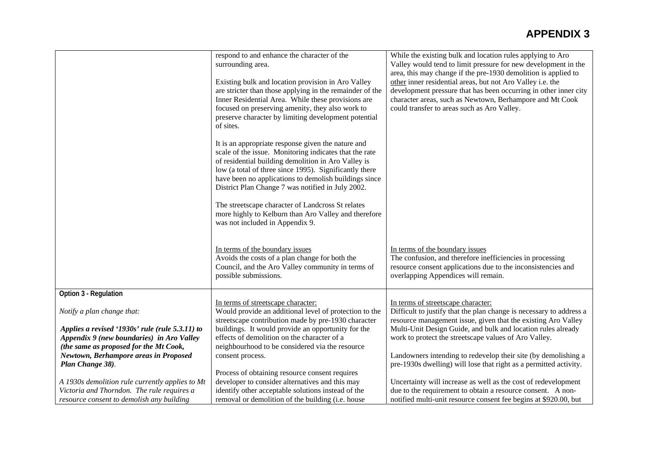|                                                                                 | respond to and enhance the character of the                                                               | While the existing bulk and location rules applying to Aro                                                                          |
|---------------------------------------------------------------------------------|-----------------------------------------------------------------------------------------------------------|-------------------------------------------------------------------------------------------------------------------------------------|
|                                                                                 | surrounding area.                                                                                         | Valley would tend to limit pressure for new development in the                                                                      |
|                                                                                 |                                                                                                           | area, this may change if the pre-1930 demolition is applied to                                                                      |
|                                                                                 | Existing bulk and location provision in Aro Valley                                                        | other inner residential areas, but not Aro Valley i.e. the                                                                          |
|                                                                                 | are stricter than those applying in the remainder of the                                                  | development pressure that has been occurring in other inner city                                                                    |
|                                                                                 | Inner Residential Area. While these provisions are                                                        |                                                                                                                                     |
|                                                                                 | focused on preserving amenity, they also work to                                                          | character areas, such as Newtown, Berhampore and Mt Cook                                                                            |
|                                                                                 | preserve character by limiting development potential                                                      | could transfer to areas such as Aro Valley.                                                                                         |
|                                                                                 | of sites.                                                                                                 |                                                                                                                                     |
|                                                                                 |                                                                                                           |                                                                                                                                     |
|                                                                                 | It is an appropriate response given the nature and                                                        |                                                                                                                                     |
|                                                                                 | scale of the issue. Monitoring indicates that the rate                                                    |                                                                                                                                     |
|                                                                                 | of residential building demolition in Aro Valley is                                                       |                                                                                                                                     |
|                                                                                 | low (a total of three since 1995). Significantly there                                                    |                                                                                                                                     |
|                                                                                 | have been no applications to demolish buildings since                                                     |                                                                                                                                     |
|                                                                                 | District Plan Change 7 was notified in July 2002.                                                         |                                                                                                                                     |
|                                                                                 |                                                                                                           |                                                                                                                                     |
|                                                                                 | The streetscape character of Landcross St relates                                                         |                                                                                                                                     |
|                                                                                 | more highly to Kelburn than Aro Valley and therefore                                                      |                                                                                                                                     |
|                                                                                 | was not included in Appendix 9.                                                                           |                                                                                                                                     |
|                                                                                 |                                                                                                           |                                                                                                                                     |
|                                                                                 |                                                                                                           |                                                                                                                                     |
|                                                                                 | In terms of the boundary issues                                                                           | In terms of the boundary issues                                                                                                     |
|                                                                                 | Avoids the costs of a plan change for both the                                                            | The confusion, and therefore inefficiencies in processing                                                                           |
|                                                                                 | Council, and the Aro Valley community in terms of                                                         | resource consent applications due to the inconsistencies and                                                                        |
|                                                                                 | possible submissions.                                                                                     | overlapping Appendices will remain.                                                                                                 |
|                                                                                 |                                                                                                           |                                                                                                                                     |
| Option 3 - Regulation                                                           |                                                                                                           |                                                                                                                                     |
|                                                                                 | In terms of streetscape character:                                                                        | In terms of streetscape character:                                                                                                  |
| Notify a plan change that:                                                      | Would provide an additional level of protection to the                                                    | Difficult to justify that the plan change is necessary to address a                                                                 |
|                                                                                 | streetscape contribution made by pre-1930 character<br>buildings. It would provide an opportunity for the | resource management issue, given that the existing Aro Valley<br>Multi-Unit Design Guide, and bulk and location rules already       |
| Applies a revised '1930s' rule (rule 5.3.11) to                                 | effects of demolition on the character of a                                                               | work to protect the streetscape values of Aro Valley.                                                                               |
| Appendix 9 (new boundaries) in Aro Valley                                       |                                                                                                           |                                                                                                                                     |
| (the same as proposed for the Mt Cook,<br>Newtown, Berhampore areas in Proposed | neighbourhood to be considered via the resource                                                           |                                                                                                                                     |
| Plan Change 38).                                                                | consent process.                                                                                          | Landowners intending to redevelop their site (by demolishing a<br>pre-1930s dwelling) will lose that right as a permitted activity. |
|                                                                                 | Process of obtaining resource consent requires                                                            |                                                                                                                                     |
| A 1930s demolition rule currently applies to Mt                                 | developer to consider alternatives and this may                                                           | Uncertainty will increase as well as the cost of redevelopment                                                                      |
| Victoria and Thorndon. The rule requires a                                      | identify other acceptable solutions instead of the                                                        | due to the requirement to obtain a resource consent. A non-                                                                         |
| resource consent to demolish any building                                       | removal or demolition of the building (i.e. house                                                         | notified multi-unit resource consent fee begins at \$920.00, but                                                                    |
|                                                                                 |                                                                                                           |                                                                                                                                     |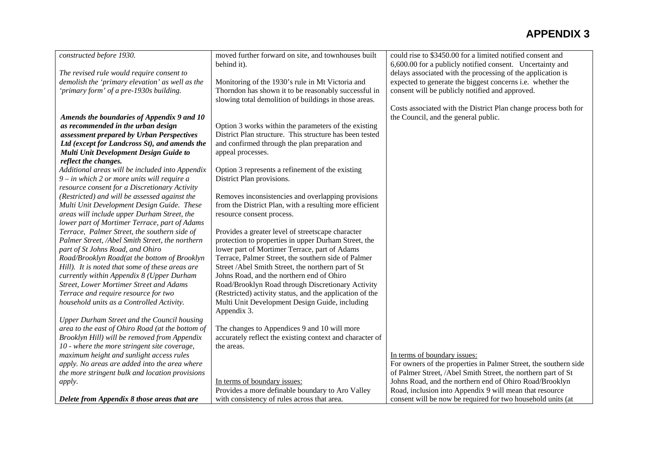| constructed before 1930.                         | moved further forward on site, and townhouses built      | could rise to \$3450.00 for a limited notified consent and       |
|--------------------------------------------------|----------------------------------------------------------|------------------------------------------------------------------|
|                                                  | behind it).                                              | 6,600.00 for a publicly notified consent. Uncertainty and        |
| The revised rule would require consent to        |                                                          | delays associated with the processing of the application is      |
| demolish the 'primary elevation' as well as the  | Monitoring of the 1930's rule in Mt Victoria and         | expected to generate the biggest concerns i.e. whether the       |
| 'primary form' of a pre-1930s building.          | Thorndon has shown it to be reasonably successful in     | consent will be publicly notified and approved.                  |
|                                                  | slowing total demolition of buildings in those areas.    |                                                                  |
|                                                  |                                                          | Costs associated with the District Plan change process both for  |
| Amends the boundaries of Appendix 9 and 10       |                                                          | the Council, and the general public.                             |
| as recommended in the urban design               | Option 3 works within the parameters of the existing     |                                                                  |
| assessment prepared by Urban Perspectives        | District Plan structure. This structure has been tested  |                                                                  |
| Ltd (except for Landcross St), and amends the    | and confirmed through the plan preparation and           |                                                                  |
| Multi Unit Development Design Guide to           | appeal processes.                                        |                                                                  |
| reflect the changes.                             |                                                          |                                                                  |
| Additional areas will be included into Appendix  | Option 3 represents a refinement of the existing         |                                                                  |
| $9 - in$ which 2 or more units will require a    | District Plan provisions.                                |                                                                  |
| resource consent for a Discretionary Activity    |                                                          |                                                                  |
| (Restricted) and will be assessed against the    | Removes inconsistencies and overlapping provisions       |                                                                  |
| Multi Unit Development Design Guide. These       | from the District Plan, with a resulting more efficient  |                                                                  |
| areas will include upper Durham Street, the      | resource consent process.                                |                                                                  |
| lower part of Mortimer Terrace, part of Adams    |                                                          |                                                                  |
| Terrace, Palmer Street, the southern side of     | Provides a greater level of streetscape character        |                                                                  |
| Palmer Street, /Abel Smith Street, the northern  | protection to properties in upper Durham Street, the     |                                                                  |
| part of St Johns Road, and Ohiro                 | lower part of Mortimer Terrace, part of Adams            |                                                                  |
| Road/Brooklyn Road(at the bottom of Brooklyn     | Terrace, Palmer Street, the southern side of Palmer      |                                                                  |
| Hill). It is noted that some of these areas are  | Street /Abel Smith Street, the northern part of St       |                                                                  |
| currently within Appendix 8 (Upper Durham        | Johns Road, and the northern end of Ohiro                |                                                                  |
| <b>Street, Lower Mortimer Street and Adams</b>   | Road/Brooklyn Road through Discretionary Activity        |                                                                  |
| Terrace and require resource for two             | (Restricted) activity status, and the application of the |                                                                  |
| household units as a Controlled Activity.        | Multi Unit Development Design Guide, including           |                                                                  |
|                                                  | Appendix 3.                                              |                                                                  |
| Upper Durham Street and the Council housing      |                                                          |                                                                  |
| area to the east of Ohiro Road (at the bottom of | The changes to Appendices 9 and 10 will more             |                                                                  |
| Brooklyn Hill) will be removed from Appendix     | accurately reflect the existing context and character of |                                                                  |
| 10 - where the more stringent site coverage,     | the areas.                                               |                                                                  |
| maximum height and sunlight access rules         |                                                          | In terms of boundary issues:                                     |
| apply. No areas are added into the area where    |                                                          | For owners of the properties in Palmer Street, the southern side |
| the more stringent bulk and location provisions  |                                                          | of Palmer Street, /Abel Smith Street, the northern part of St    |
| apply.                                           | In terms of boundary issues:                             | Johns Road, and the northern end of Ohiro Road/Brooklyn          |
|                                                  | Provides a more definable boundary to Aro Valley         | Road, inclusion into Appendix 9 will mean that resource          |
| Delete from Appendix 8 those areas that are      | with consistency of rules across that area.              | consent will be now be required for two household units (at      |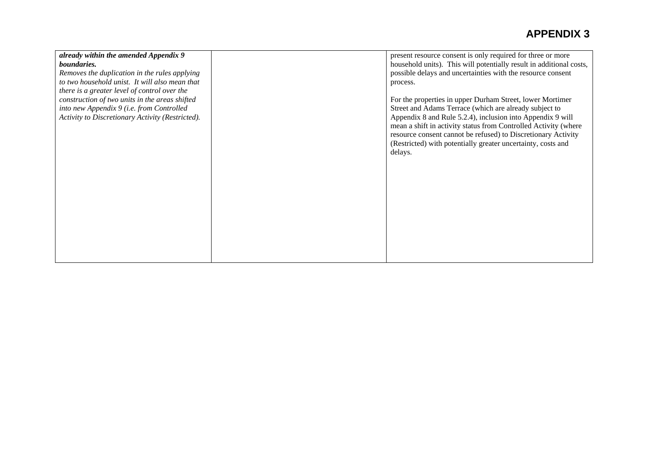| already within the amended Appendix 9            | present resource consent is only required for three or more         |
|--------------------------------------------------|---------------------------------------------------------------------|
| <i>boundaries.</i>                               | household units). This will potentially result in additional costs, |
| Removes the duplication in the rules applying    | possible delays and uncertainties with the resource consent         |
| to two household unist. It will also mean that   | process.                                                            |
| there is a greater level of control over the     |                                                                     |
| construction of two units in the areas shifted   | For the properties in upper Durham Street, lower Mortimer           |
| into new Appendix 9 (i.e. from Controlled        | Street and Adams Terrace (which are already subject to              |
| Activity to Discretionary Activity (Restricted). | Appendix 8 and Rule 5.2.4), inclusion into Appendix 9 will          |
|                                                  | mean a shift in activity status from Controlled Activity (where     |
|                                                  | resource consent cannot be refused) to Discretionary Activity       |
|                                                  | (Restricted) with potentially greater uncertainty, costs and        |
|                                                  | delays.                                                             |
|                                                  |                                                                     |
|                                                  |                                                                     |
|                                                  |                                                                     |
|                                                  |                                                                     |
|                                                  |                                                                     |
|                                                  |                                                                     |
|                                                  |                                                                     |
|                                                  |                                                                     |
|                                                  |                                                                     |
|                                                  |                                                                     |
|                                                  |                                                                     |
|                                                  |                                                                     |
|                                                  |                                                                     |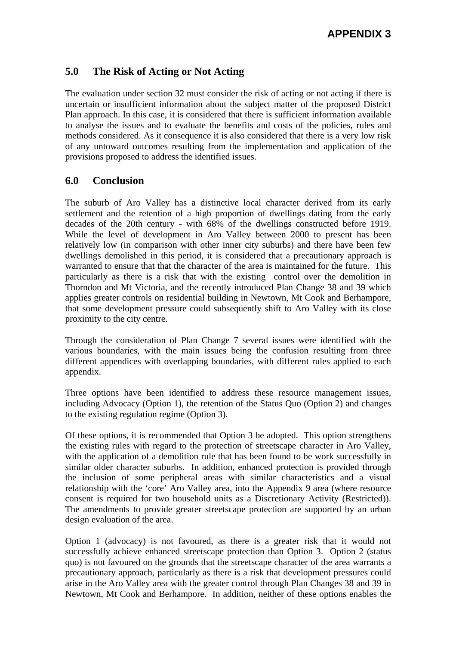### **5.0 The Risk of Acting or Not Acting**

The evaluation under section 32 must consider the risk of acting or not acting if there is uncertain or insufficient information about the subject matter of the proposed District Plan approach. In this case, it is considered that there is sufficient information available to analyse the issues and to evaluate the benefits and costs of the policies, rules and methods considered. As it consequence it is also considered that there is a very low risk of any untoward outcomes resulting from the implementation and application of the provisions proposed to address the identified issues.

### **6.0 Conclusion**

The suburb of Aro Valley has a distinctive local character derived from its early settlement and the retention of a high proportion of dwellings dating from the early decades of the 20th century - with 68% of the dwellings constructed before 1919. While the level of development in Aro Valley between 2000 to present has been relatively low (in comparison with other inner city suburbs) and there have been few dwellings demolished in this period, it is considered that a precautionary approach is warranted to ensure that that the character of the area is maintained for the future. This particularly as there is a risk that with the existing control over the demolition in Thorndon and Mt Victoria, and the recently introduced Plan Change 38 and 39 which applies greater controls on residential building in Newtown, Mt Cook and Berhampore, that some development pressure could subsequently shift to Aro Valley with its close proximity to the city centre.

Through the consideration of Plan Change 7 several issues were identified with the various boundaries, with the main issues being the confusion resulting from three different appendices with overlapping boundaries, with different rules applied to each appendix.

Three options have been identified to address these resource management issues, including Advocacy (Option 1), the retention of the Status Quo (Option 2) and changes to the existing regulation regime (Option 3).

Of these options, it is recommended that Option 3 be adopted. This option strengthens the existing rules with regard to the protection of streetscape character in Aro Valley, with the application of a demolition rule that has been found to be work successfully in similar older character suburbs. In addition, enhanced protection is provided through the inclusion of some peripheral areas with similar characteristics and a visual relationship with the 'core' Aro Valley area, into the Appendix 9 area (where resource consent is required for two household units as a Discretionary Activity (Restricted)). The amendments to provide greater streetscape protection are supported by an urban design evaluation of the area.

Option 1 (advocacy) is not favoured, as there is a greater risk that it would not successfully achieve enhanced streetscape protection than Option 3. Option 2 (status quo) is not favoured on the grounds that the streetscape character of the area warrants a precautionary approach, particularly as there is a risk that development pressures could arise in the Aro Valley area with the greater control through Plan Changes 38 and 39 in Newtown, Mt Cook and Berhampore. In addition, neither of these options enables the